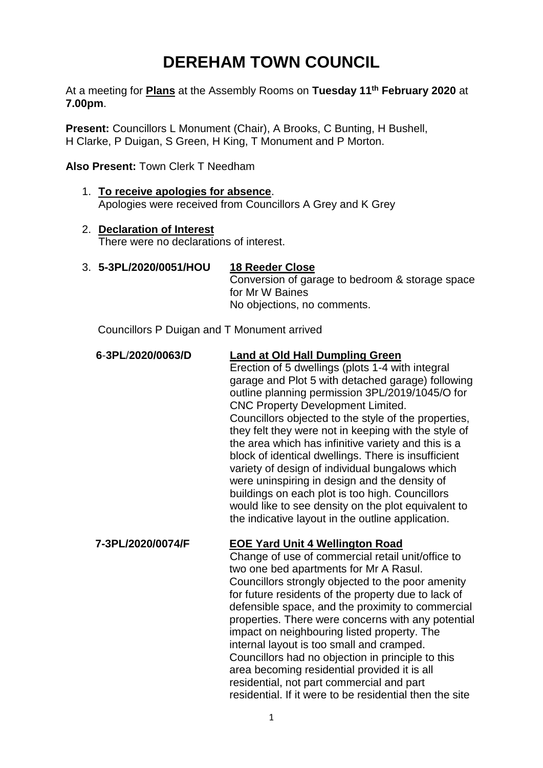# **DEREHAM TOWN COUNCIL**

At a meeting for **Plans** at the Assembly Rooms on **Tuesday 11th February 2020** at **7.00pm**.

**Present:** Councillors L Monument (Chair), A Brooks, C Bunting, H Bushell, H Clarke, P Duigan, S Green, H King, T Monument and P Morton.

**Also Present:** Town Clerk T Needham

- 1. **To receive apologies for absence**. Apologies were received from Councillors A Grey and K Grey
- 2. **Declaration of Interest** There were no declarations of interest.
- 3. **5-3PL/2020/0051/HOU 18 Reeder Close** Conversion of garage to bedroom & storage space for Mr W Baines No objections, no comments.

Councillors P Duigan and T Monument arrived

 **6**-**3PL**/**2020/0063/D Land at Old Hall Dumpling Green** Erection of 5 dwellings (plots 1-4 with integral garage and Plot 5 with detached garage) following outline planning permission 3PL/2019/1045/O for CNC Property Development Limited. Councillors objected to the style of the properties, they felt they were not in keeping with the style of the area which has infinitive variety and this is a block of identical dwellings. There is insufficient variety of design of individual bungalows which were uninspiring in design and the density of

buildings on each plot is too high. Councillors would like to see density on the plot equivalent to the indicative layout in the outline application.

### **7-3PL/2020/0074/F EOE Yard Unit 4 Wellington Road**

Change of use of commercial retail unit/office to two one bed apartments for Mr A Rasul. Councillors strongly objected to the poor amenity for future residents of the property due to lack of defensible space, and the proximity to commercial properties. There were concerns with any potential impact on neighbouring listed property. The internal layout is too small and cramped. Councillors had no objection in principle to this area becoming residential provided it is all residential, not part commercial and part residential. If it were to be residential then the site